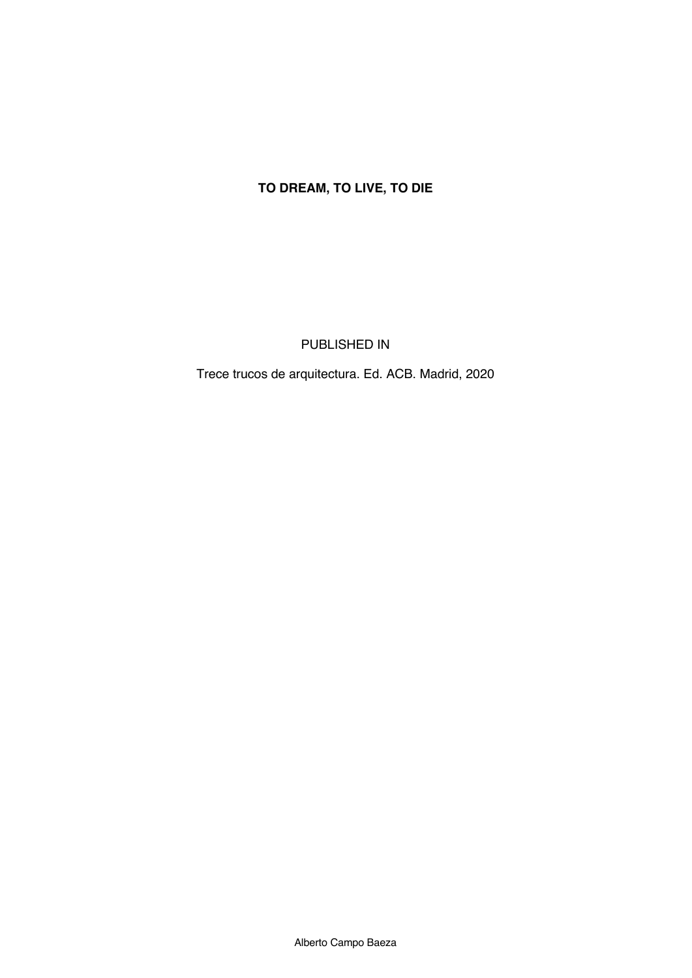## **TO DREAM, TO LIVE, TO DIE**

PUBLISHED IN

Trece trucos de arquitectura. Ed. ACB. Madrid, 2020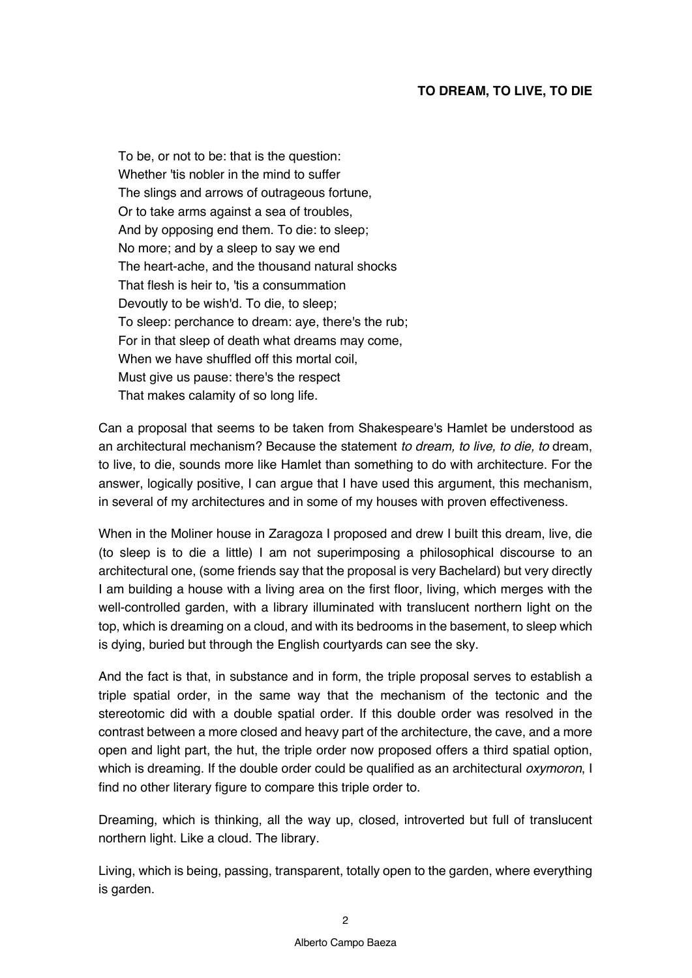To be, or not to be: that is the question: Whether 'tis nobler in the mind to suffer The slings and arrows of outrageous fortune, Or to take arms against a sea of troubles, And by opposing end them. To die: to sleep; No more; and by a sleep to say we end The heart-ache, and the thousand natural shocks That flesh is heir to, 'tis a consummation Devoutly to be wish'd. To die, to sleep; To sleep: perchance to dream: aye, there's the rub; For in that sleep of death what dreams may come, When we have shuffled off this mortal coil, Must give us pause: there's the respect That makes calamity of so long life.

Can a proposal that seems to be taken from Shakespeare's Hamlet be understood as an architectural mechanism? Because the statement *to dream, to live, to die, to* dream, to live, to die, sounds more like Hamlet than something to do with architecture. For the answer, logically positive, I can argue that I have used this argument, this mechanism, in several of my architectures and in some of my houses with proven effectiveness.

When in the Moliner house in Zaragoza I proposed and drew I built this dream, live, die (to sleep is to die a little) I am not superimposing a philosophical discourse to an architectural one, (some friends say that the proposal is very Bachelard) but very directly I am building a house with a living area on the first floor, living, which merges with the well-controlled garden, with a library illuminated with translucent northern light on the top, which is dreaming on a cloud, and with its bedrooms in the basement, to sleep which is dying, buried but through the English courtyards can see the sky.

And the fact is that, in substance and in form, the triple proposal serves to establish a triple spatial order, in the same way that the mechanism of the tectonic and the stereotomic did with a double spatial order. If this double order was resolved in the contrast between a more closed and heavy part of the architecture, the cave, and a more open and light part, the hut, the triple order now proposed offers a third spatial option, which is dreaming. If the double order could be qualified as an architectural *oxymoron*, I find no other literary figure to compare this triple order to.

Dreaming, which is thinking, all the way up, closed, introverted but full of translucent northern light. Like a cloud. The library.

Living, which is being, passing, transparent, totally open to the garden, where everything is garden.